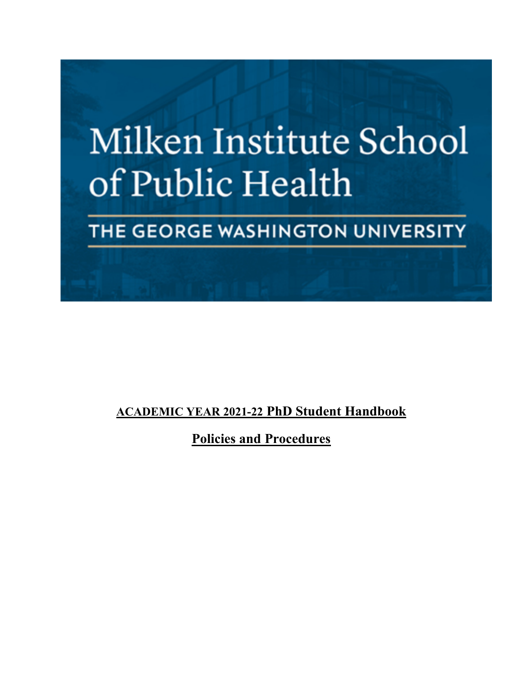

# THE GEORGE WASHINGTON UNIVERSITY

# **ACADEMIC YEAR 2021-22 PhD Student Handbook**

**Policies and Procedures**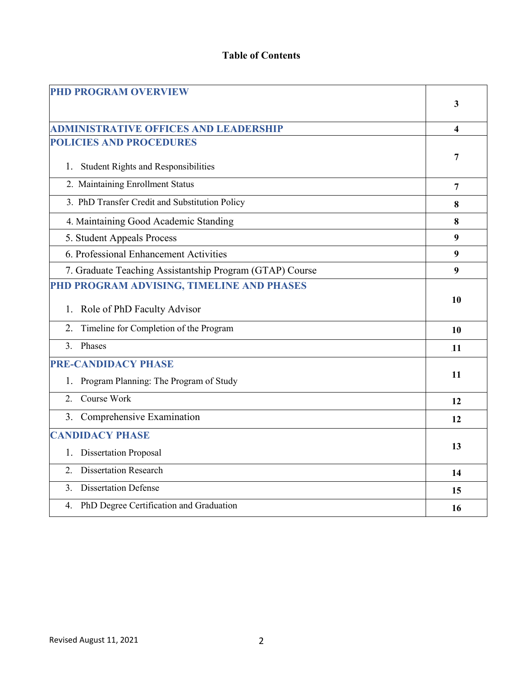# **Table of Contents**

| <b>PHD PROGRAM OVERVIEW</b>                              |                |  |  |  |  |  |
|----------------------------------------------------------|----------------|--|--|--|--|--|
|                                                          |                |  |  |  |  |  |
|                                                          |                |  |  |  |  |  |
| <b>ADMINISTRATIVE OFFICES AND LEADERSHIP</b>             | 4              |  |  |  |  |  |
| <b>POLICIES AND PROCEDURES</b>                           |                |  |  |  |  |  |
|                                                          | 7              |  |  |  |  |  |
| 1. Student Rights and Responsibilities                   |                |  |  |  |  |  |
| 2. Maintaining Enrollment Status                         | $\overline{7}$ |  |  |  |  |  |
| 3. PhD Transfer Credit and Substitution Policy           | 8              |  |  |  |  |  |
| 4. Maintaining Good Academic Standing                    | 8              |  |  |  |  |  |
| 5. Student Appeals Process                               | 9              |  |  |  |  |  |
| 6. Professional Enhancement Activities                   | 9              |  |  |  |  |  |
| 7. Graduate Teaching Assistantship Program (GTAP) Course | 9              |  |  |  |  |  |
| PHD PROGRAM ADVISING, TIMELINE AND PHASES                |                |  |  |  |  |  |
| 1. Role of PhD Faculty Advisor                           | 10             |  |  |  |  |  |
| Timeline for Completion of the Program<br>2.             | 10             |  |  |  |  |  |
| Phases<br>$\mathcal{E}$                                  | .11            |  |  |  |  |  |
| <b>PRE-CANDIDACY PHASE</b>                               |                |  |  |  |  |  |
| Program Planning: The Program of Study<br>1.             | 11             |  |  |  |  |  |
| Course Work<br>2.                                        | 12             |  |  |  |  |  |
| 3. Comprehensive Examination                             | 12             |  |  |  |  |  |
| <b>CANDIDACY PHASE</b>                                   |                |  |  |  |  |  |
| <b>Dissertation Proposal</b><br>1.                       | 13             |  |  |  |  |  |
| <b>Dissertation Research</b><br>2.                       | 14             |  |  |  |  |  |
| <b>Dissertation Defense</b><br>3.                        | 15             |  |  |  |  |  |
| PhD Degree Certification and Graduation<br>4.            | 16             |  |  |  |  |  |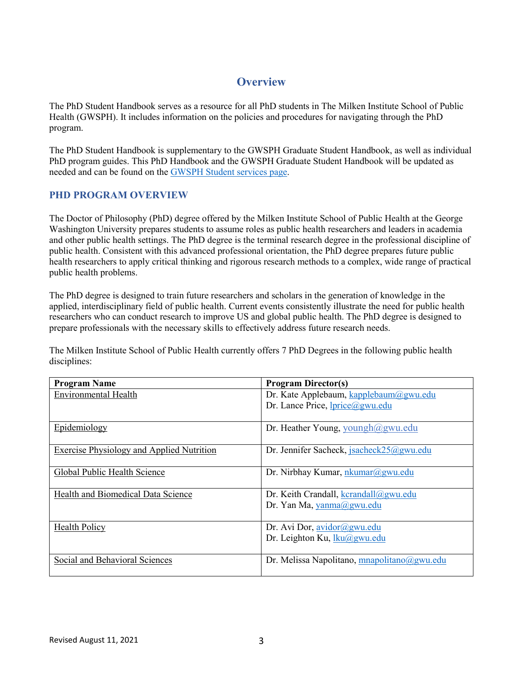# **Overview**

The PhD Student Handbook serves as a resource for all PhD students in The Milken Institute School of Public Health (GWSPH). It includes information on the policies and procedures for navigating through the PhD program.

The PhD Student Handbook is supplementary to the GWSPH Graduate Student Handbook, as well as individual PhD program guides. This PhD Handbook and the GWSPH Graduate Student Handbook will be updated as needed and can be found on th[e GWSPH Student services page.](https://publichealth.gwu.edu/content/services-students)

# **PHD PROGRAM OVERVIEW**

The Doctor of Philosophy (PhD) degree offered by the Milken Institute School of Public Health at the George Washington University prepares students to assume roles as public health researchers and leaders in academia and other public health settings. The PhD degree is the terminal research degree in the professional discipline of public health. Consistent with this advanced professional orientation, the PhD degree prepares future public health researchers to apply critical thinking and rigorous research methods to a complex, wide range of practical public health problems.

The PhD degree is designed to train future researchers and scholars in the generation of knowledge in the applied, interdisciplinary field of public health. Current events consistently illustrate the need for public health researchers who can conduct research to improve US and global public health. The PhD degree is designed to prepare professionals with the necessary skills to effectively address future research needs.

The Milken Institute School of Public Health currently offers 7 PhD Degrees in the following public health disciplines:

| <b>Program Name</b>                              | <b>Program Director(s)</b>                     |
|--------------------------------------------------|------------------------------------------------|
| <b>Environmental Health</b>                      | Dr. Kate Applebaum, kapplebaum@gwu.edu         |
|                                                  | Dr. Lance Price, <i>lprice</i> @gwu.edu        |
| Epidemiology                                     | Dr. Heather Young, youngh@gwu.edu              |
| <b>Exercise Physiology and Applied Nutrition</b> | Dr. Jennifer Sacheck, jsacheck $25$ @gwu.edu   |
| Global Public Health Science                     | Dr. Nirbhay Kumar, nkumar@gwu.edu              |
| Health and Biomedical Data Science               | Dr. Keith Crandall, $k$ crandall $(a)$ gwu.edu |
|                                                  | Dr. Yan Ma, yanma@gwu.edu                      |
| <b>Health Policy</b>                             | Dr. Avi Dor, <u>avidor@gwu.edu</u>             |
|                                                  | Dr. Leighton Ku, lku@gwu.edu                   |
| Social and Behavioral Sciences                   | Dr. Melissa Napolitano, mnapolitano@gwu.edu    |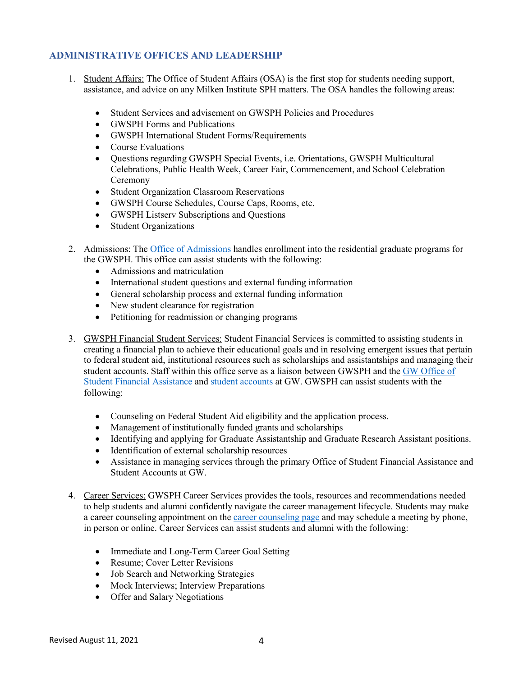# **ADMINISTRATIVE OFFICES AND LEADERSHIP**

- 1. Student Affairs: The Office of Student Affairs (OSA) is the first stop for students needing support, assistance, and advice on any Milken Institute SPH matters. The OSA handles the following areas:
	- Student Services and advisement on GWSPH Policies and Procedures
	- GWSPH Forms and Publications
	- GWSPH International Student Forms/Requirements
	- Course Evaluations
	- Questions regarding GWSPH Special Events, i.e. Orientations, GWSPH Multicultural Celebrations, Public Health Week, Career Fair, Commencement, and School Celebration Ceremony
	- Student Organization Classroom Reservations
	- GWSPH Course Schedules, Course Caps, Rooms, etc.
	- GWSPH Listserv Subscriptions and Questions
	- Student Organizations
- 2. Admissions: Th[e Office of Admissions](https://publichealth.gwu.edu/admissions/graduate-admissions) handles enrollment into the residential graduate programs for the GWSPH. This office can assist students with the following:
	- Admissions and matriculation
	- International student questions and external funding information
	- General scholarship process and external funding information
	- New student clearance for registration
	- Petitioning for readmission or changing programs
- 3. GWSPH Financial Student Services: Student Financial Services is committed to assisting students in creating a financial plan to achieve their educational goals and in resolving emergent issues that pertain to federal student aid, institutional resources such as scholarships and assistantships and managing their student accounts. Staff within this office serve as a liaison between GWSPH and the [GW Office of](https://financialaid.gwu.edu/)  [Student Financial Assistance](https://financialaid.gwu.edu/) and student [accounts](https://studentaccounts.gwu.edu/) at GW. GWSPH can assist students with the following:
	- Counseling on Federal Student Aid eligibility and the application process.
	- Management of institutionally funded grants and scholarships
	- Identifying and applying for Graduate Assistantship and Graduate Research Assistant positions.
	- Identification of external scholarship resources
	- Assistance in managing services through the primary Office of Student Financial Assistance and Student Accounts at GW.
- 4. Career Services: GWSPH Career Services provides the tools, resources and recommendations needed to help students and alumni confidently navigate the career management lifecycle. Students may make a career counseling appointment on the [career counseling page](https://publichealth.gwu.edu/services/career-center/counseling) and may schedule a meeting by phone, in person or online. Career Services can assist students and alumni with the following:
	- Immediate and Long-Term Career Goal Setting
	- Resume; Cover Letter Revisions
	- Job Search and Networking Strategies
	- Mock Interviews; Interview Preparations
	- Offer and Salary Negotiations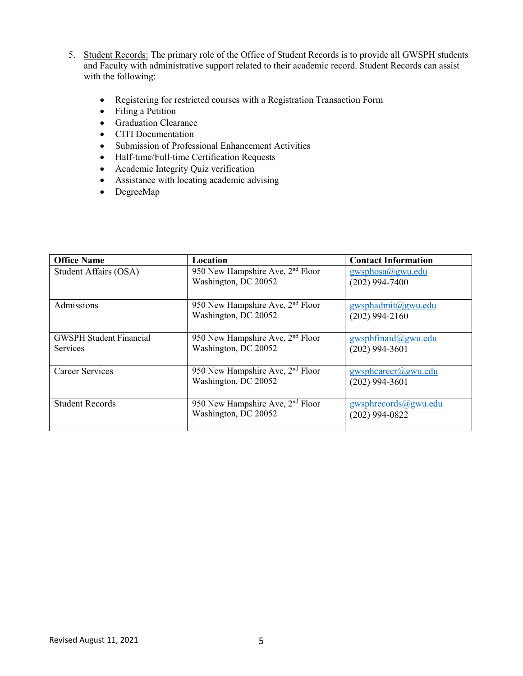- 5. Student Records: The primary role of the Office of Student Records is to provide all GWSPH students and Faculty with administrative support related to their academic record. Student Records can assist with the following:
	- Registering for restricted courses with a Registration Transaction Form
	- Filing a Petition
	- Graduation Clearance
	- CITI Documentation
	- Submission of Professional Enhancement Activities
	- Half-time/Full-time Certification Requests
	- Academic Integrity Quiz verification
	- Assistance with locating academic advising
	- DegreeMap

| <b>Office Name</b>             | Location                                                             | <b>Contact Information</b>             |
|--------------------------------|----------------------------------------------------------------------|----------------------------------------|
| Student Affairs (OSA)          | 950 New Hampshire Ave, 2 <sup>nd</sup> Floor<br>Washington, DC 20052 | gwyphosa(a)gwu.edu<br>$(202)$ 994-7400 |
|                                |                                                                      |                                        |
| Admissions                     | 950 New Hampshire Ave, 2 <sup>nd</sup> Floor<br>Washington, DC 20052 | gwsphadmit@gwu.edu<br>$(202)$ 994-2160 |
|                                |                                                                      |                                        |
| <b>GWSPH Student Financial</b> | 950 New Hampshire Ave, 2 <sup>nd</sup> Floor                         | gwsphfinaid@gwu.edu                    |
| <b>Services</b>                | Washington, DC 20052                                                 | $(202)$ 994-3601                       |
| <b>Career Services</b>         | 950 New Hampshire Ave, 2 <sup>nd</sup> Floor                         | gwsphcareer@gwu.edu                    |
|                                | Washington, DC 20052                                                 | $(202)$ 994-3601                       |
| <b>Student Records</b>         | 950 New Hampshire Ave, 2 <sup>nd</sup> Floor                         | gwsphrecords@gwu.edu                   |
|                                | Washington, DC 20052                                                 | $(202)$ 994-0822                       |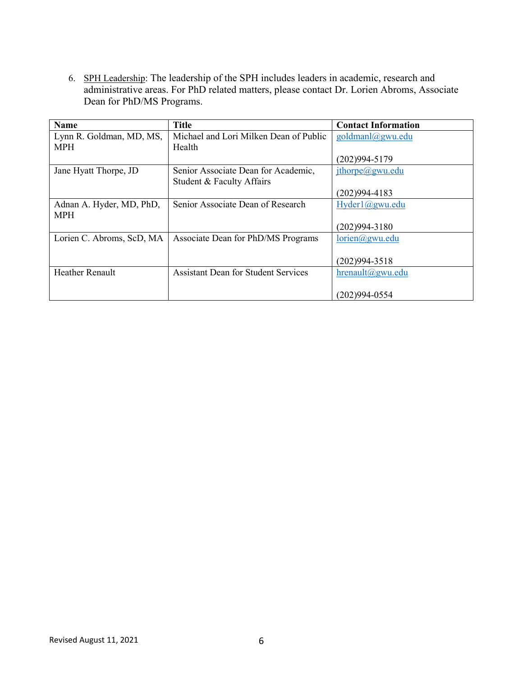6. SPH Leadership: The leadership of the SPH includes leaders in academic, research and administrative areas. For PhD related matters, please contact Dr. Lorien Abroms, Associate Dean for PhD/MS Programs.

| <b>Name</b>               | <b>Title</b>                               | <b>Contact Information</b> |
|---------------------------|--------------------------------------------|----------------------------|
| Lynn R. Goldman, MD, MS,  | Michael and Lori Milken Dean of Public     | goldmanl@gwu.edu           |
| <b>MPH</b>                | Health                                     |                            |
|                           |                                            | $(202)994 - 5179$          |
| Jane Hyatt Thorpe, JD     | Senior Associate Dean for Academic,        | $jth$ orpe $(a)$ gwu.edu   |
|                           | Student & Faculty Affairs                  |                            |
|                           |                                            | $(202)994 - 4183$          |
| Adnan A. Hyder, MD, PhD,  | Senior Associate Dean of Research          | Hyder1@gwu.edu             |
| <b>MPH</b>                |                                            |                            |
|                           |                                            | $(202)994 - 3180$          |
| Lorien C. Abroms, ScD, MA | Associate Dean for PhD/MS Programs         | lorien@gwu.edu             |
|                           |                                            |                            |
|                           |                                            | $(202)994 - 3518$          |
| <b>Heather Renault</b>    | <b>Assistant Dean for Student Services</b> | $h$ renault@gwu.edu        |
|                           |                                            |                            |
|                           |                                            | (202)994-0554              |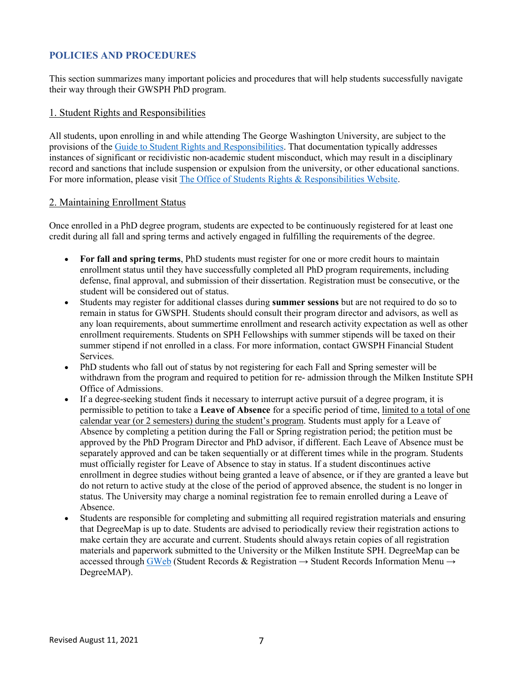# **POLICIES AND PROCEDURES**

This section summarizes many important policies and procedures that will help students successfully navigate their way through their GWSPH PhD program.

#### 1. Student Rights and Responsibilities

All students, upon enrolling in and while attending The George Washington University, are subject to the provisions of the [Guide to Student Rights and Responsibilities.](https://studentconduct.gwu.edu/sites/g/files/zaxdzs3451/f/downloads/Code%20of%20Student%20Conduct%2008172020.pdf) That documentation typically addresses instances of significant or recidivistic non-academic student misconduct, which may result in a disciplinary record and sanctions that include suspension or expulsion from the university, or other educational sanctions. For more information, please visit [The Office of Students Rights & Responsibilities Website.](https://studentconduct.gwu.edu/)

#### 2. Maintaining Enrollment Status

Once enrolled in a PhD degree program, students are expected to be continuously registered for at least one credit during all fall and spring terms and actively engaged in fulfilling the requirements of the degree.

- **For fall and spring terms**, PhD students must register for one or more credit hours to maintain enrollment status until they have successfully completed all PhD program requirements, including defense, final approval, and submission of their dissertation. Registration must be consecutive, or the student will be considered out of status.
- Students may register for additional classes during **summer sessions** but are not required to do so to remain in status for GWSPH. Students should consult their program director and advisors, as well as any loan requirements, about summertime enrollment and research activity expectation as well as other enrollment requirements. Students on SPH Fellowships with summer stipends will be taxed on their summer stipend if not enrolled in a class. For more information, contact GWSPH Financial Student Services.
- PhD students who fall out of status by not registering for each Fall and Spring semester will be withdrawn from the program and required to petition for re- admission through the Milken Institute SPH Office of Admissions.
- If a degree-seeking student finds it necessary to interrupt active pursuit of a degree program, it is permissible to petition to take a **Leave of Absence** for a specific period of time, limited to a total of one calendar year (or 2 semesters) during the student's program. Students must apply for a Leave of Absence by completing a petition during the Fall or Spring registration period; the petition must be approved by the PhD Program Director and PhD advisor, if different. Each Leave of Absence must be separately approved and can be taken sequentially or at different times while in the program. Students must officially register for Leave of Absence to stay in status. If a student discontinues active enrollment in degree studies without being granted a leave of absence, or if they are granted a leave but do not return to active study at the close of the period of approved absence, the student is no longer in status. The University may charge a nominal registration fee to remain enrolled during a Leave of Absence.
- Students are responsible for completing and submitting all required registration materials and ensuring that DegreeMap is up to date. Students are advised to periodically review their registration actions to make certain they are accurate and current. Students should always retain copies of all registration materials and paperwork submitted to the University or the Milken Institute SPH. DegreeMap can be accessed through [GWeb](https://it.gwu.edu/gweb) (Student Records & Registration  $\rightarrow$  Student Records Information Menu  $\rightarrow$ DegreeMAP).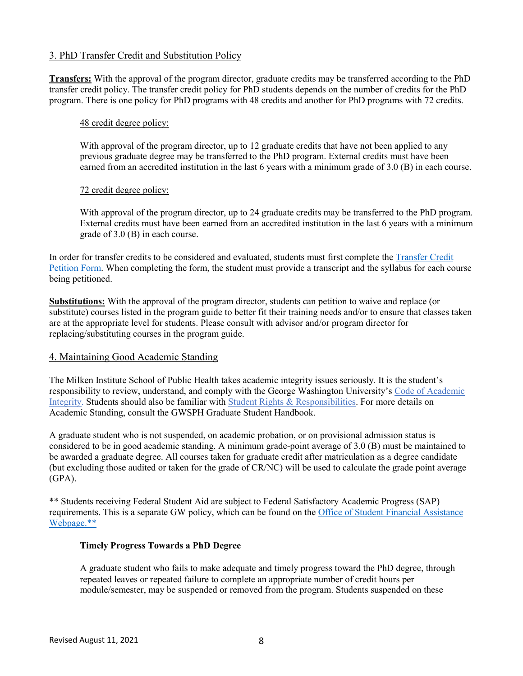#### 3. PhD Transfer Credit and Substitution Policy

**Transfers:** With the approval of the program director, graduate credits may be transferred according to the PhD transfer credit policy. The transfer credit policy for PhD students depends on the number of credits for the PhD program. There is one policy for PhD programs with 48 credits and another for PhD programs with 72 credits.

#### 48 credit degree policy:

With approval of the program director, up to 12 graduate credits that have not been applied to any previous graduate degree may be transferred to the PhD program. External credits must have been earned from an accredited institution in the last 6 years with a minimum grade of 3.0 (B) in each course.

#### 72 credit degree policy:

With approval of the program director, up to 24 graduate credits may be transferred to the PhD program. External credits must have been earned from an accredited institution in the last 6 years with a minimum grade of 3.0 (B) in each course.

In order for transfer credits to be considered and evaluated, students must first complete the [Transfer Credit](https://docs.google.com/forms/d/e/1FAIpQLSeWv5FTCawfnqCio-SPqssfkwT1GAlcEiBP_Itg4WGqarC-Kg/viewform)  [Petition Form.](https://docs.google.com/forms/d/e/1FAIpQLSeWv5FTCawfnqCio-SPqssfkwT1GAlcEiBP_Itg4WGqarC-Kg/viewform) When completing the form, the student must provide a transcript and the syllabus for each course being petitioned.

**Substitutions:** With the approval of the program director, students can petition to waive and replace (or substitute) courses listed in the program guide to better fit their training needs and/or to ensure that classes taken are at the appropriate level for students. Please consult with advisor and/or program director for replacing/substituting courses in the program guide.

# 4. Maintaining Good Academic Standing

The Milken Institute School of Public Health takes academic integrity issues seriously. It is the student's responsibility to review, understand, and comply with the George Washington University's [Code of Academic](https://studentconduct.gwu.edu/sites/g/files/zaxdzs3451/f/downloads/160912%20Code%20of%20Academic%20Integrity%20-%20Final.pdf)  [Integrity.](https://studentconduct.gwu.edu/sites/g/files/zaxdzs3451/f/downloads/160912%20Code%20of%20Academic%20Integrity%20-%20Final.pdf) Students should also be familiar with [Student Rights & Responsibilities.](https://studentconduct.gwu.edu/basic-rights) For more details on Academic Standing, consult the GWSPH Graduate Student Handbook.

A graduate student who is not suspended, on academic probation, or on provisional admission status is considered to be in good academic standing. A minimum grade-point average of 3.0 (B) must be maintained to be awarded a graduate degree. All courses taken for graduate credit after matriculation as a degree candidate (but excluding those audited or taken for the grade of CR/NC) will be used to calculate the grade point average  $(GPA)$ .

\*\* Students receiving Federal Student Aid are subject to Federal Satisfactory Academic Progress (SAP) requirements. This is a separate GW policy, which can be found on the [Office of Student Financial Assistance](https://financialaid.gwu.edu/)  [Webpage.\\*\\*](https://financialaid.gwu.edu/)

#### **Timely Progress Towards a PhD Degree**

A graduate student who fails to make adequate and timely progress toward the PhD degree, through repeated leaves or repeated failure to complete an appropriate number of credit hours per module/semester, may be suspended or removed from the program. Students suspended on these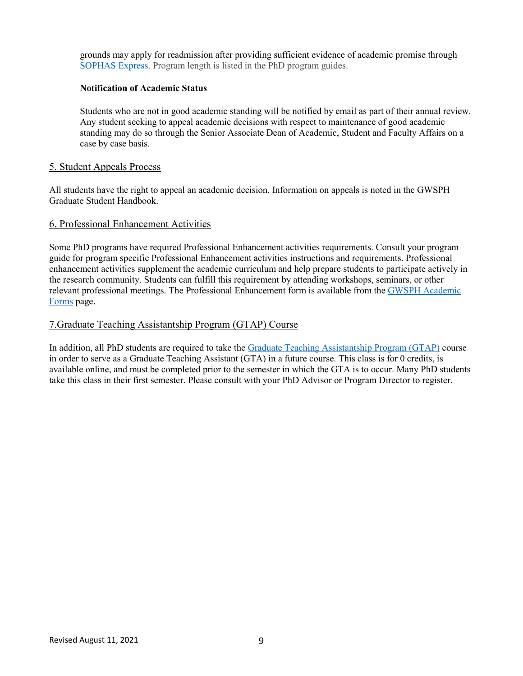grounds may apply for readmission after providing sufficient evidence of academic promise through [SOPHAS Express.](https://sophasexpress.liaisoncas.com/applicant-ux/#/login) Program length is listed in the PhD program guides.

#### **Notification of Academic Status**

Students who are not in good academic standing will be notified by email as part of their annual review. Any student seeking to appeal academic decisions with respect to maintenance of good academic standing may do so through the Senior Associate Dean of Academic, Student and Faculty Affairs on a case by case basis.

#### 5. Student Appeals Process

All students have the right to appeal an academic decision. Information on appeals is noted in the GWSPH Graduate Student Handbook.

#### 6. Professional Enhancement Activities

Some PhD programs have required Professional Enhancement activities requirements. Consult your program guide for program specific Professional Enhancement activities instructions and requirements. Professional enhancement activities supplement the academic curriculum and help prepare students to participate actively in the research community. Students can fulfill this requirement by attending workshops, seminars, or other relevant professional meetings. The Professional Enhancement form is available from the [GWSPH Academic](https://publichealth.gwu.edu/academics/forms)  [Forms](https://publichealth.gwu.edu/academics/forms) page.

#### 7.Graduate Teaching Assistantship Program (GTAP) Course

In addition, all PhD students are required to take the [Graduate Teaching Assistantship Program](https://gradfellowships.gwu.edu/graduate-teaching-assistantship-program-gtap) (GTAP) course in order to serve as a Graduate Teaching Assistant (GTA) in a future course. This class is for 0 credits, is available online, and must be completed prior to the semester in which the GTA is to occur. Many PhD students take this class in their first semester. Please consult with your PhD Advisor or Program Director to register.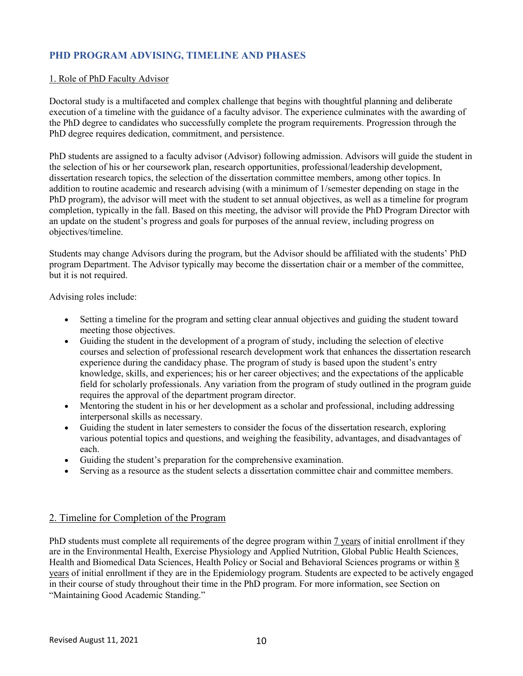# **PHD PROGRAM ADVISING, TIMELINE AND PHASES**

#### 1. Role of PhD Faculty Advisor

Doctoral study is a multifaceted and complex challenge that begins with thoughtful planning and deliberate execution of a timeline with the guidance of a faculty advisor. The experience culminates with the awarding of the PhD degree to candidates who successfully complete the program requirements. Progression through the PhD degree requires dedication, commitment, and persistence.

PhD students are assigned to a faculty advisor (Advisor) following admission. Advisors will guide the student in the selection of his or her coursework plan, research opportunities, professional/leadership development, dissertation research topics, the selection of the dissertation committee members, among other topics. In addition to routine academic and research advising (with a minimum of 1/semester depending on stage in the PhD program), the advisor will meet with the student to set annual objectives, as well as a timeline for program completion, typically in the fall. Based on this meeting, the advisor will provide the PhD Program Director with an update on the student's progress and goals for purposes of the annual review, including progress on objectives/timeline.

Students may change Advisors during the program, but the Advisor should be affiliated with the students' PhD program Department. The Advisor typically may become the dissertation chair or a member of the committee, but it is not required.

Advising roles include:

- Setting a timeline for the program and setting clear annual objectives and guiding the student toward meeting those objectives.
- Guiding the student in the development of a program of study, including the selection of elective courses and selection of professional research development work that enhances the dissertation research experience during the candidacy phase. The program of study is based upon the student's entry knowledge, skills, and experiences; his or her career objectives; and the expectations of the applicable field for scholarly professionals. Any variation from the program of study outlined in the program guide requires the approval of the department program director.
- Mentoring the student in his or her development as a scholar and professional, including addressing interpersonal skills as necessary.
- Guiding the student in later semesters to consider the focus of the dissertation research, exploring various potential topics and questions, and weighing the feasibility, advantages, and disadvantages of each.
- Guiding the student's preparation for the comprehensive examination.
- Serving as a resource as the student selects a dissertation committee chair and committee members.

#### 2. Timeline for Completion of the Program

PhD students must complete all requirements of the degree program within 7 years of initial enrollment if they are in the Environmental Health, Exercise Physiology and Applied Nutrition, Global Public Health Sciences, Health and Biomedical Data Sciences, Health Policy or Social and Behavioral Sciences programs or within 8 years of initial enrollment if they are in the Epidemiology program. Students are expected to be actively engaged in their course of study throughout their time in the PhD program. For more information, see Section on "Maintaining Good Academic Standing."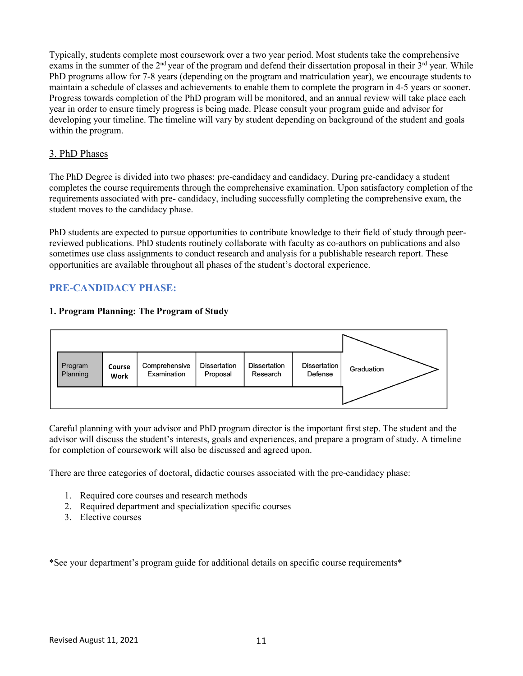Typically, students complete most coursework over a two year period. Most students take the comprehensive exams in the summer of the  $2<sup>nd</sup>$  year of the program and defend their dissertation proposal in their  $3<sup>rd</sup>$  year. While PhD programs allow for 7-8 years (depending on the program and matriculation year), we encourage students to maintain a schedule of classes and achievements to enable them to complete the program in 4-5 years or sooner. Progress towards completion of the PhD program will be monitored, and an annual review will take place each year in order to ensure timely progress is being made. Please consult your program guide and advisor for developing your timeline. The timeline will vary by student depending on background of the student and goals within the program.

#### 3. PhD Phases

The PhD Degree is divided into two phases: pre-candidacy and candidacy. During pre-candidacy a student completes the course requirements through the comprehensive examination. Upon satisfactory completion of the requirements associated with pre- candidacy, including successfully completing the comprehensive exam, the student moves to the candidacy phase.

PhD students are expected to pursue opportunities to contribute knowledge to their field of study through peerreviewed publications. PhD students routinely collaborate with faculty as co-authors on publications and also sometimes use class assignments to conduct research and analysis for a publishable research report. These opportunities are available throughout all phases of the student's doctoral experience.

# **PRE-CANDIDACY PHASE:**

#### **1. Program Planning: The Program of Study**



Careful planning with your advisor and PhD program director is the important first step. The student and the advisor will discuss the student's interests, goals and experiences, and prepare a program of study. A timeline for completion of coursework will also be discussed and agreed upon.

There are three categories of doctoral, didactic courses associated with the pre-candidacy phase:

- 1. Required core courses and research methods
- 2. Required department and specialization specific courses
- 3. Elective courses

\*See your department's program guide for additional details on specific course requirements\*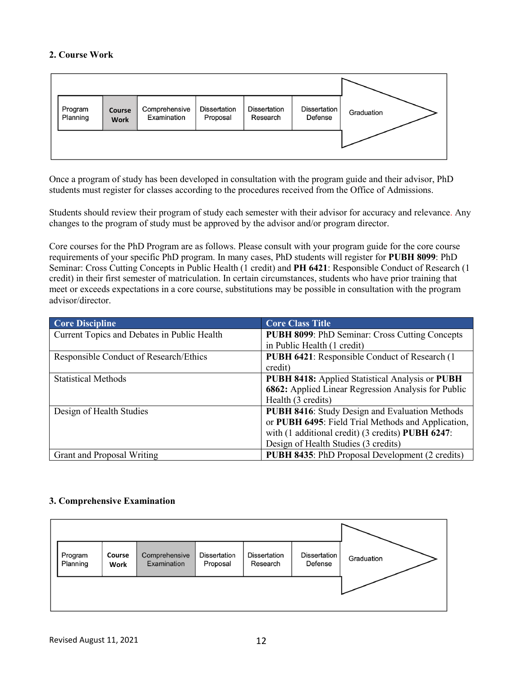#### **2. Course Work**

| Program<br>Planning | Course<br><b>Work</b> | Comprehensive<br>Examination | <b>Dissertation</b><br>Proposal | <b>Dissertation</b><br>Research | <b>Dissertation</b><br>Defense | Graduation |
|---------------------|-----------------------|------------------------------|---------------------------------|---------------------------------|--------------------------------|------------|
|                     |                       |                              |                                 |                                 |                                |            |

Once a program of study has been developed in consultation with the program guide and their advisor, PhD students must register for classes according to the procedures received from the Office of Admissions.

Students should review their program of study each semester with their advisor for accuracy and relevance. Any changes to the program of study must be approved by the advisor and/or program director.

Core courses for the PhD Program are as follows. Please consult with your program guide for the core course requirements of your specific PhD program. In many cases, PhD students will register for **PUBH 8099**: PhD Seminar: Cross Cutting Concepts in Public Health (1 credit) and **PH 6421**: Responsible Conduct of Research (1 credit) in their first semester of matriculation. In certain circumstances, students who have prior training that meet or exceeds expectations in a core course, substitutions may be possible in consultation with the program advisor/director.

| <b>Core Discipline</b>                      | <b>Core Class Title</b>                                |
|---------------------------------------------|--------------------------------------------------------|
| Current Topics and Debates in Public Health | <b>PUBH 8099: PhD Seminar: Cross Cutting Concepts</b>  |
|                                             | in Public Health (1 credit)                            |
| Responsible Conduct of Research/Ethics      | PUBH 6421: Responsible Conduct of Research (1)         |
|                                             | credit)                                                |
| <b>Statistical Methods</b>                  | PUBH 8418: Applied Statistical Analysis or PUBH        |
|                                             | 6862: Applied Linear Regression Analysis for Public    |
|                                             | Health (3 credits)                                     |
| Design of Health Studies                    | <b>PUBH 8416:</b> Study Design and Evaluation Methods  |
|                                             | or PUBH 6495: Field Trial Methods and Application,     |
|                                             | with (1 additional credit) (3 credits) PUBH 6247:      |
|                                             | Design of Health Studies (3 credits)                   |
| Grant and Proposal Writing                  | <b>PUBH 8435:</b> PhD Proposal Development (2 credits) |

# **3. Comprehensive Examination**

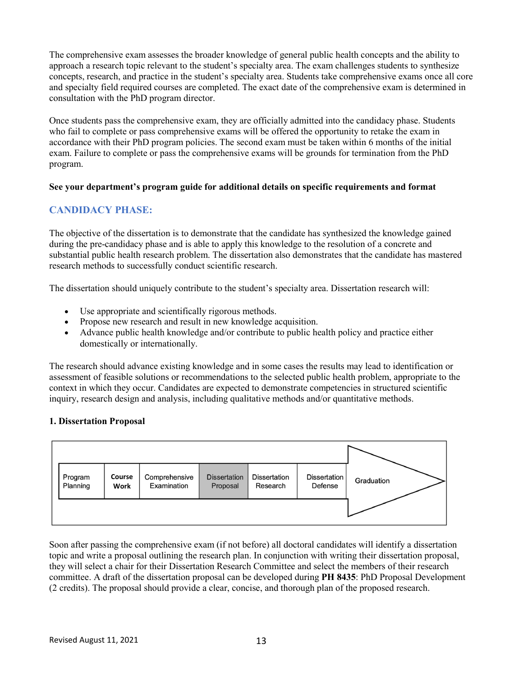The comprehensive exam assesses the broader knowledge of general public health concepts and the ability to approach a research topic relevant to the student's specialty area. The exam challenges students to synthesize concepts, research, and practice in the student's specialty area. Students take comprehensive exams once all core and specialty field required courses are completed. The exact date of the comprehensive exam is determined in consultation with the PhD program director.

Once students pass the comprehensive exam, they are officially admitted into the candidacy phase. Students who fail to complete or pass comprehensive exams will be offered the opportunity to retake the exam in accordance with their PhD program policies. The second exam must be taken within 6 months of the initial exam. Failure to complete or pass the comprehensive exams will be grounds for termination from the PhD program.

#### **See your department's program guide for additional details on specific requirements and format**

# **CANDIDACY PHASE:**

The objective of the dissertation is to demonstrate that the candidate has synthesized the knowledge gained during the pre-candidacy phase and is able to apply this knowledge to the resolution of a concrete and substantial public health research problem. The dissertation also demonstrates that the candidate has mastered research methods to successfully conduct scientific research.

The dissertation should uniquely contribute to the student's specialty area. Dissertation research will:

- Use appropriate and scientifically rigorous methods.
- Propose new research and result in new knowledge acquisition.
- Advance public health knowledge and/or contribute to public health policy and practice either domestically or internationally.

The research should advance existing knowledge and in some cases the results may lead to identification or assessment of feasible solutions or recommendations to the selected public health problem, appropriate to the context in which they occur. Candidates are expected to demonstrate competencies in structured scientific inquiry, research design and analysis, including qualitative methods and/or quantitative methods.

# **1. Dissertation Proposal**



Soon after passing the comprehensive exam (if not before) all doctoral candidates will identify a dissertation topic and write a proposal outlining the research plan. In conjunction with writing their dissertation proposal, they will select a chair for their Dissertation Research Committee and select the members of their research committee. A draft of the dissertation proposal can be developed during **PH 8435**: PhD Proposal Development (2 credits). The proposal should provide a clear, concise, and thorough plan of the proposed research.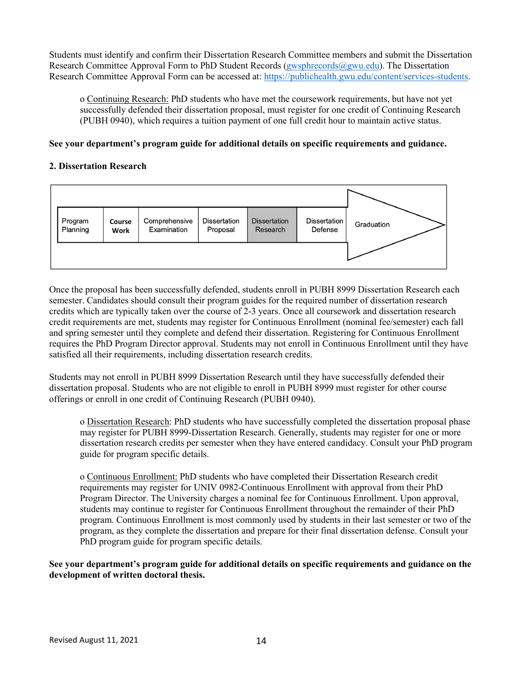Students must identify and confirm their Dissertation Research Committee members and submit the Dissertation Research Committee Approval Form to PhD Student Records (gwsphrecords  $@gww$ . du). The Dissertation Research Committee Approval Form can be accessed at: [https://publichealth.gwu.edu/content/services-students.](https://publichealth.gwu.edu/content/services-students)

o Continuing Research: PhD students who have met the coursework requirements, but have not yet successfully defended their dissertation proposal, must register for one credit of Continuing Research (PUBH 0940), which requires a tuition payment of one full credit hour to maintain active status.

#### **See your department's program guide for additional details on specific requirements and guidance.**

#### **2. Dissertation Research**



Once the proposal has been successfully defended, students enroll in PUBH 8999 Dissertation Research each semester. Candidates should consult their program guides for the required number of dissertation research credits which are typically taken over the course of 2-3 years. Once all coursework and dissertation research credit requirements are met, students may register for Continuous Enrollment (nominal fee/semester) each fall and spring semester until they complete and defend their dissertation. Registering for Continuous Enrollment requires the PhD Program Director approval. Students may not enroll in Continuous Enrollment until they have satisfied all their requirements, including dissertation research credits.

Students may not enroll in PUBH 8999 Dissertation Research until they have successfully defended their dissertation proposal. Students who are not eligible to enroll in PUBH 8999 must register for other course offerings or enroll in one credit of Continuing Research (PUBH 0940).

o Dissertation Research: PhD students who have successfully completed the dissertation proposal phase may register for PUBH 8999-Dissertation Research. Generally, students may register for one or more dissertation research credits per semester when they have entered candidacy. Consult your PhD program guide for program specific details.

o Continuous Enrollment: PhD students who have completed their Dissertation Research credit requirements may register for UNIV 0982-Continuous Enrollment with approval from their PhD Program Director. The University charges a nominal fee for Continuous Enrollment. Upon approval, students may continue to register for Continuous Enrollment throughout the remainder of their PhD program. Continuous Enrollment is most commonly used by students in their last semester or two of the program, as they complete the dissertation and prepare for their final dissertation defense. Consult your PhD program guide for program specific details.

**See your department's program guide for additional details on specific requirements and guidance on the development of written doctoral thesis.**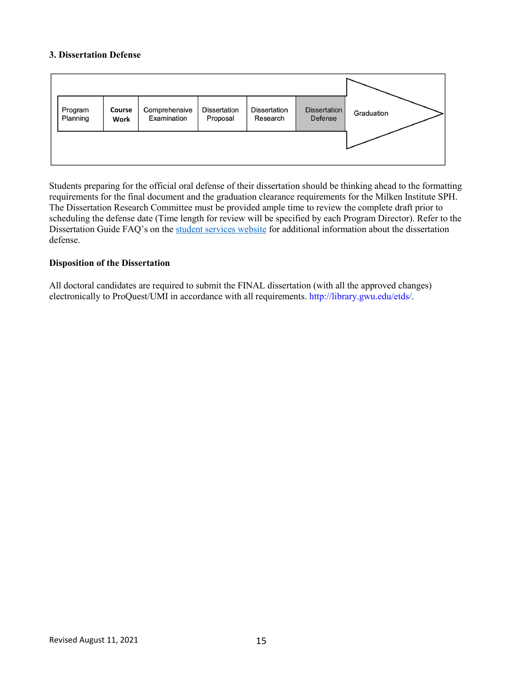#### **3. Dissertation Defense**

| Program<br>Planning | Course<br>Work | Comprehensive<br>Examination | <b>Dissertation</b><br>Proposal | <b>Dissertation</b><br>Research | <b>Dissertation</b><br>Defense | Graduation |
|---------------------|----------------|------------------------------|---------------------------------|---------------------------------|--------------------------------|------------|
|                     |                |                              |                                 |                                 |                                |            |

Students preparing for the official oral defense of their dissertation should be thinking ahead to the formatting requirements for the final document and the graduation clearance requirements for the Milken Institute SPH. The Dissertation Research Committee must be provided ample time to review the complete draft prior to scheduling the defense date (Time length for review will be specified by each Program Director). Refer to the Dissertation Guide FAQ's on the [student services website](https://publichealth.gwu.edu/content/services-students) for additional information about the dissertation defense.

#### **Disposition of the Dissertation**

All doctoral candidates are required to submit the FINAL dissertation (with all the approved changes) electronically to ProQuest/UMI in accordance with all requirements. http://library.gwu.edu/etds/.